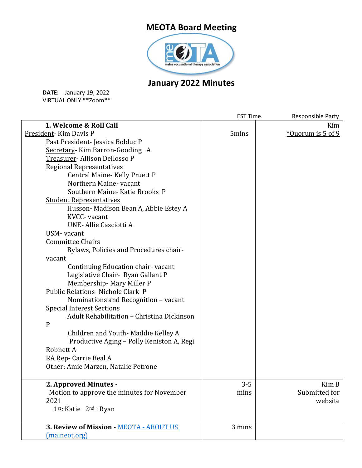## **MEOTA Board Meeting**



## **January 2022 Minutes**

**DATE:** January 19, 2022 VIRTUAL ONLY \*\*Zoom\*\*

|                                            | EST Time. | Responsible Party |
|--------------------------------------------|-----------|-------------------|
| 1. Welcome & Roll Call                     |           | Kim               |
| President-Kim Davis P                      | 5mins     | *Quorum is 5 of 9 |
| Past President-Jessica Bolduc P            |           |                   |
| Secretary-Kim Barron-Gooding A             |           |                   |
| Treasurer- Allison Dellosso P              |           |                   |
| <b>Regional Representatives</b>            |           |                   |
| Central Maine-Kelly Pruett P               |           |                   |
| Northern Maine- vacant                     |           |                   |
| Southern Maine-Katie Brooks P              |           |                   |
| <b>Student Representatives</b>             |           |                   |
| Husson-Madison Bean A, Abbie Estey A       |           |                   |
| KVCC- vacant                               |           |                   |
| UNE-Allie Casciotti A                      |           |                   |
| USM-vacant                                 |           |                   |
| <b>Committee Chairs</b>                    |           |                   |
| Bylaws, Policies and Procedures chair-     |           |                   |
| vacant                                     |           |                   |
| Continuing Education chair-vacant          |           |                   |
| Legislative Chair- Ryan Gallant P          |           |                   |
| Membership-Mary Miller P                   |           |                   |
| Public Relations - Nichole Clark P         |           |                   |
| Nominations and Recognition - vacant       |           |                   |
| <b>Special Interest Sections</b>           |           |                   |
| Adult Rehabilitation - Christina Dickinson |           |                   |
| $\mathbf{P}$                               |           |                   |
| Children and Youth-Maddie Kelley A         |           |                   |
| Productive Aging - Polly Keniston A, Regi  |           |                   |
| Robnett A                                  |           |                   |
| RA Rep- Carrie Beal A                      |           |                   |
| Other: Amie Marzen, Natalie Petrone        |           |                   |
| 2. Approved Minutes -                      | $3 - 5$   | Kim B             |
| Motion to approve the minutes for November | mins      | Submitted for     |
| 2021                                       |           | website           |
| 1st: Katie 2 <sup>nd</sup> : Ryan          |           |                   |
| 3. Review of Mission - MEOTA - ABOUT US    | 3 mins    |                   |
| (maineot.org)                              |           |                   |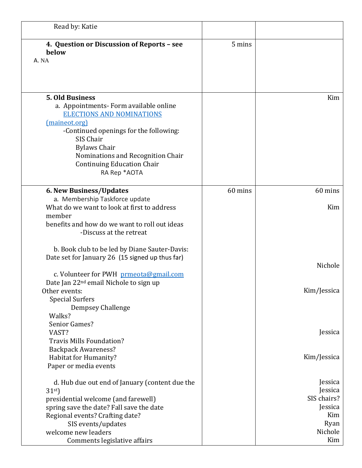| Read by: Katie                                                                                                                                                                                                                                                                                 |         |                                                                               |
|------------------------------------------------------------------------------------------------------------------------------------------------------------------------------------------------------------------------------------------------------------------------------------------------|---------|-------------------------------------------------------------------------------|
| 4. Question or Discussion of Reports - see<br>below<br>A. NA                                                                                                                                                                                                                                   | 5 mins  |                                                                               |
| <b>5. Old Business</b><br>a. Appointments- Form available online<br><b>ELECTIONS AND NOMINATIONS</b><br>(maineot.org)<br>-Continued openings for the following:<br>SIS Chair<br><b>Bylaws Chair</b><br>Nominations and Recognition Chair<br><b>Continuing Education Chair</b><br>RA Rep *AOTA  |         | Kim                                                                           |
| 6. New Business/Updates<br>a. Membership Taskforce update<br>What do we want to look at first to address<br>member<br>benefits and how do we want to roll out ideas<br>-Discuss at the retreat                                                                                                 | 60 mins | 60 mins<br>Kim                                                                |
| b. Book club to be led by Diane Sauter-Davis:<br>Date set for January 26 (15 signed up thus far)<br>c. Volunteer for PWH prmeota@gmail.com<br>Date Jan 22 <sup>nd</sup> email Nichole to sign up<br>Other events:<br><b>Special Surfers</b>                                                    |         | Nichole<br>Kim/Jessica                                                        |
| Dempsey Challenge<br>Walks?<br>Senior Games?<br>VAST?<br><b>Travis Mills Foundation?</b><br><b>Backpack Awareness?</b><br>Habitat for Humanity?                                                                                                                                                |         | Jessica<br>Kim/Jessica                                                        |
| Paper or media events<br>d. Hub due out end of January (content due the<br>31 <sup>st</sup><br>presidential welcome (and farewell)<br>spring save the date? Fall save the date<br>Regional events? Crafting date?<br>SIS events/updates<br>welcome new leaders<br>Comments legislative affairs |         | Jessica<br>Jessica<br>SIS chairs?<br>Jessica<br>Kim<br>Ryan<br>Nichole<br>Kim |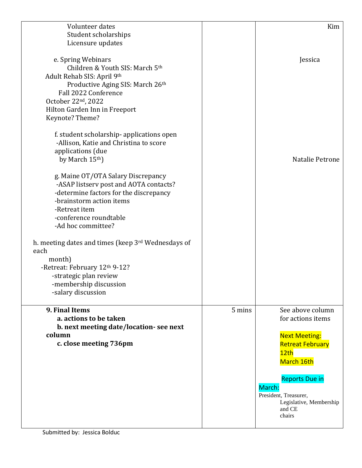| Volunteer dates                                    |        | Kim                               |
|----------------------------------------------------|--------|-----------------------------------|
| Student scholarships                               |        |                                   |
| Licensure updates                                  |        |                                   |
|                                                    |        |                                   |
| e. Spring Webinars                                 |        | Jessica                           |
| Children & Youth SIS: March 5th                    |        |                                   |
| Adult Rehab SIS: April 9th                         |        |                                   |
| Productive Aging SIS: March 26th                   |        |                                   |
| Fall 2022 Conference                               |        |                                   |
| October 22nd, 2022                                 |        |                                   |
| Hilton Garden Inn in Freeport                      |        |                                   |
| Keynote? Theme?                                    |        |                                   |
|                                                    |        |                                   |
|                                                    |        |                                   |
| f. student scholarship-applications open           |        |                                   |
| -Allison, Katie and Christina to score             |        |                                   |
| applications (due                                  |        |                                   |
| by March 15th)                                     |        | Natalie Petrone                   |
|                                                    |        |                                   |
| g. Maine OT/OTA Salary Discrepancy                 |        |                                   |
| -ASAP listserv post and AOTA contacts?             |        |                                   |
| -determine factors for the discrepancy             |        |                                   |
| -brainstorm action items                           |        |                                   |
| -Retreat item                                      |        |                                   |
| -conference roundtable                             |        |                                   |
| -Ad hoc committee?                                 |        |                                   |
| h. meeting dates and times (keep 3rd Wednesdays of |        |                                   |
| each                                               |        |                                   |
| month)                                             |        |                                   |
| -Retreat: February 12th 9-12?                      |        |                                   |
| -strategic plan review                             |        |                                   |
| -membership discussion                             |        |                                   |
| -salary discussion                                 |        |                                   |
|                                                    |        |                                   |
| 9. Final Items                                     | 5 mins | See above column                  |
| a. actions to be taken                             |        | for actions items                 |
| b. next meeting date/location-see next             |        |                                   |
| column                                             |        | <b>Next Meeting:</b>              |
| c. close meeting 736pm                             |        | <b>Retreat February</b>           |
|                                                    |        | 12th                              |
|                                                    |        | March 16th                        |
|                                                    |        |                                   |
|                                                    |        | <b>Reports Due in</b>             |
|                                                    |        | March:                            |
|                                                    |        | President, Treasurer,             |
|                                                    |        | Legislative, Membership<br>and CE |
|                                                    |        | chairs                            |
|                                                    |        |                                   |